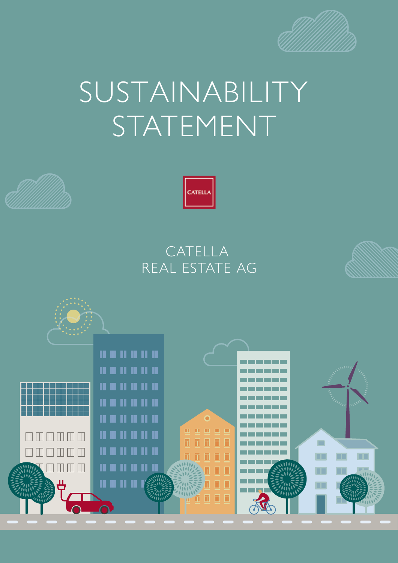

# SUSTAINABILITY STATEMENT





## CATELLA REAL ESTATE AG

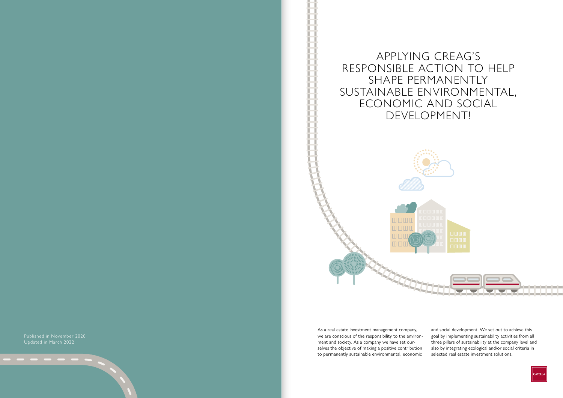Published in November 2020 Updated in March 2022

APPLYING CREAG'S RESPONSIBLE ACTION TO HELP SHAPE PERMANENTLY SUSTAINABLE ENVIRONMENTAL, ECONOMIC AND SOCIAL DEVELOPMENT!





omaa 0000  $\Pi$   $\Pi$ 



As a real estate investment management company, we are conscious of the responsibility to the environment and society. As a company we have set ourselves the objective of making a positive contribution to permanently sustainable environmental, economic

and social development. We set out to achieve this goal by implementing sustainability activities from all three pillars of sustainability at the company level and also by integrating ecological and/or social criteria in selected real estate investment solutions.

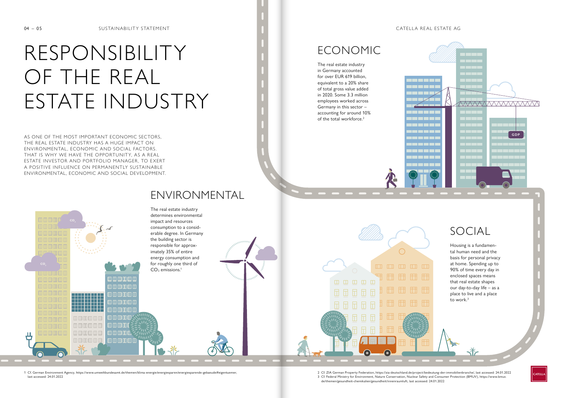

# <u>nan pan pan pan pan</u> FFR FFR FFR FFR

han han han

# RESPONSIBILITY OF THE REAL ESTATE INDUSTRY

AS ONE OF THE MOST IMPORTANT ECONOMIC SECTORS, THE REAL ESTATE INDUSTRY HAS A HUGE IMPACT ON ENVIRONMENTAL, ECONOMIC AND SOCIAL FACTORS. THAT IS WHY WE HAVE THE OPPORTUNITY, AS A REAL ESTATE INVESTOR AND PORTFOLIO MANAGER , TO EXERT A POSITIVE INFLUENCE ON PERMANENTLY SUSTAINABLE ENVIRONMENTAL, ECONOMIC AND SOCIAL DEVELOPMENT.

Housing is a fundamental human need and the basis for personal privacy at home. Spending up to 90% of time every day in enclosed spaces means that real estate shapes our day-to-day life – as a place to live and a place to work. $3$ 



The real estate industry in Germany accounted for over EUR 619 billion, equivalent to a 20% share of total gross value added in 2020. Some 3.3 million employees worked across Germany in this sector – accounting for around 10% of the total workforce.2





[1 Cf. German Environment Agency, https://www.umweltbundesamt.de/themen/klima-energie/energiesparen/energiesparende-gebaeude#eigentuemer,](https://www.umweltbundesamt.de/themen/klima-energie/energiesparen/energiesparende-gebaeude#eigentuemer) 2 Cf. ZIA German Property Federation, https://zia-deutschland.de/project/bedeutung-de [last accessed: 24.01.2022](https://www.umweltbundesamt.de/themen/klima-energie/energiesparen/energiesparende-gebaeude#eigentuemer) **19.20 and Consumer Protection (BMUV)**, https://www.bmuv. and Consumer Protection (BMUV), https://www.bmuv.

## ECONOMIC

## SOCIAL

- 
- [de/themen/gesundheit-chemikalien/gesundheit/innenraumluft, last accessed: 24.01.2022](https://www.bmuv.de/themen/gesundheit-chemikalien/gesundheit/innenraumluft)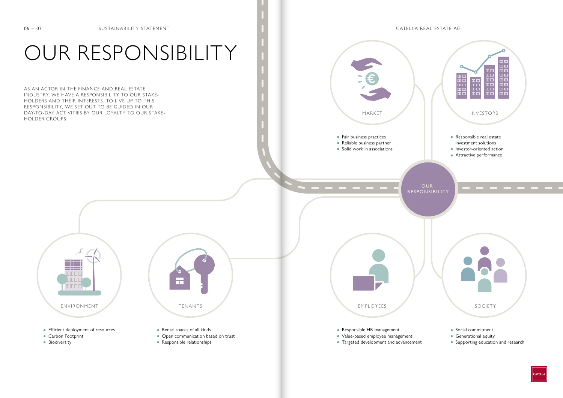## OUR RESPONSIBILITY





AS AN ACTOR IN THE FINANCE AND REAL ESTATE INDUSTRY, WE HAVE A RESPONSIBILITY TO OUR STAKE-HOLDERS AND THEIR INTERESTS. TO LIVE UP TO THIS RESPONSIBILITY, WE SET OUT TO BE GUIDED IN OUR DAY-TO-DAY ACTIVITIES BY OUR LOYALTY TO OUR STAKE-HOLDER GROUPS.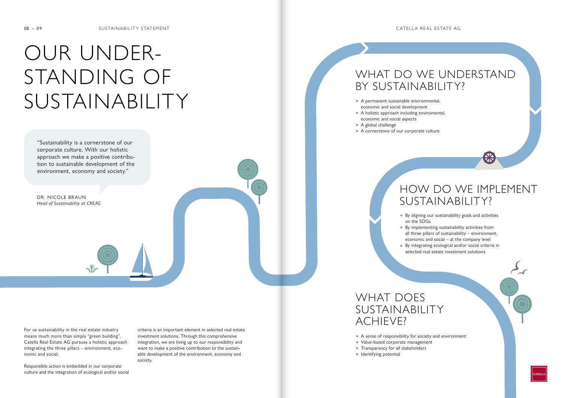# OUR UNDER-STANDING OF SUSTAINABILITY

For us sustainability in the real estate industry means much more than simply "green building". Catella Real Estate AG pursues a holistic approach integrating the three pillars – environment, economic and social.

Responsible action is embedded in our corporate culture and the integration of ecological and/or social

"Sustainability is a cornerstone of our corporate culture. With our holistic approach we make a positive contribution to sustainable development of the environment, economy and society."

岺

- **•** A permanent sustainable environmental, economic and social development
- **•** A holistic approach including enviromental, economic and social aspects
- **•** A global challenge
- **•** A cornerstone of our corporate culture

## WHAT DO WE UNDERSTAND BY SUSTAINABILITY?

## HOW DO WE IMPLEMENT SUSTAINABILITY?

**•** By aligning our sustainability goals and activities

- on the SDGs
	-
	-

**•** By implementing sustainability activities from all three pillars of sustainability – environment, economic and social – at the company level **•** By integrating ecological and/or social criteria in selected real estate investment solutions



## WHAT DOES SUSTAINABILITY ACHIEVE?

- **•** A sense of responsibility for society and environment
- **•** Value-based corporate management
- **•** Transparency for all stakeholders
- **•** Identifying potential

criteria is an important element in selected real estate investment solutions. Through this comprehensive integration, we are living up to our responsibility and want to make a positive contribution to the sustainable development of the environment, economy and society.

DR. NICOLE BRAUN *Head of Sustainability at CREAG*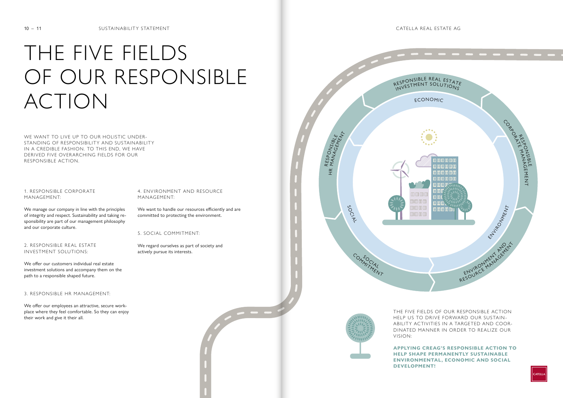



# THE FIVE FIELDS OF OUR RESPONSIBLE ACTION

WE WANT TO LIVE UP TO OUR HOLISTIC UNDER-STANDING OF RESPONSIBILITY AND SUSTAINABILITY IN A CREDIBLE FASHION. TO THIS END, WE HAVE DERIVED FIVE OVERARCHING FIELDS FOR OUR RESPONSIBLE ACTION.

1. RESPONSIBLE CORPOR ATE MANAGEMENT:

We manage our company in line with the principles of integrity and respect. Sustainability and taking responsibility are part of our management philosophy and our corporate culture.

2. RESPONSIBLE REAL ESTATE INVESTMENT SOLUTIONS:

We offer our customers individual real estate investment solutions and accompany them on the path to a responsible shaped future.

3. RESPONSIBLE HR MANAGEMENT:

We offer our employees an attractive, secure workplace where they feel comfortable. So they can enjoy their work and give it their all.

THE FIVE FIELDS OF OUR RESPONSIBLE ACTION HELP US TO DRIVE FORWARD OUR SUSTAIN-ABILITY ACTIVITIES IN A TARGETED AND COOR-DINATED MANNER IN ORDER TO REALIZE OUR VISION:

**APPLYING CREAG'S RESPONSIBLE ACTION TO HELP SHAPE PERMANENTLY SUSTAINABLE ENVIRONMENTAL, ECONOMIC AND SOCIAL DEVELOPMENT!**



### 4. ENVIRONMENT AND RESOURCE MANAGEMENT:

We want to handle our resources efficiently and are committed to protecting the environment.

5. SOCIAL COMMITMENT:

We regard ourselves as part of society and actively pursue its interests.

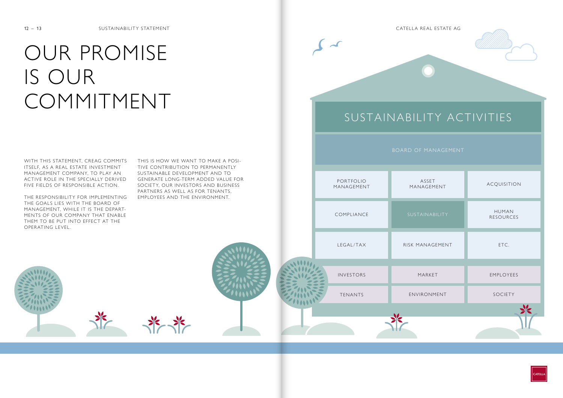## BOARD OF MANAGEMENT

## SUSTAINABILITY ACTIVITIES

| RISK MANAGEMENT | ETC.      |
|-----------------|-----------|
| MARKET          | EMPLOYEES |
| ENVIRONMENT     | SOCIETY   |
|                 |           |
|                 |           |







WITH THIS STATEMENT, CREAG COMMITS ITSELF, AS A REAL ESTATE INVESTMENT MANAGEMENT COMPANY, TO PLAY AN ACTIVE ROLE IN THE SPECIALLY DERIVED FIVE FIELDS OF RESPONSIBLE ACTION.

# OUR PROMISE IS OUR COMMITMENT

THE RESPONSIBILITY FOR IMPLEMENTING THE GOALS LIES WITH THE BOARD OF MANAGEMENT, WHILE IT IS THE DEPART-MENTS OF OUR COMPANY THAT ENABLE THEM TO BE PUT INTO EFFECT AT THE OPERATING LEVEL.

THIS IS HOW WE WANT TO MAKE A POSI-TIVE CONTRIBUTION TO PERMANENTLY SUSTAINABLE DEVELOPMENT AND TO GENER ATE LONG-TERM ADDED VALUE FOR SOCIETY, OUR INVESTORS AND BUSINESS PARTNERS AS WELL AS FOR TENANTS, EMPLOYEES AND THE ENVIRONMENT.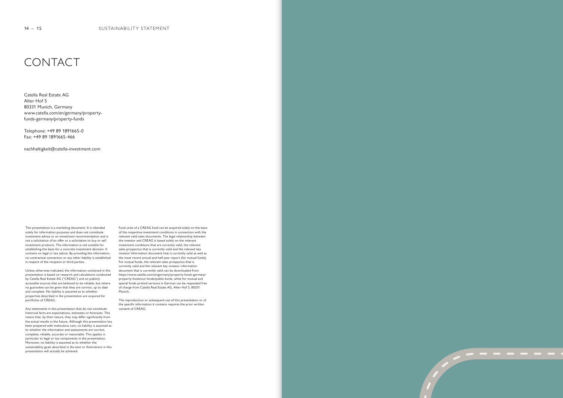

Catella Real Estate AG Alter Hof 5 80331 Munich, Germany www.catella.com/en/germany/propertyfunds-germany/property-funds

Telephone: +49 89 1891665-0 Fax: +49 89 1891665-466

nachhaltigkeit@catella-investment.com

This presentation is a marketing document. It is intended solely for information purposes and does not constitute investment advice or an investment recommendation and is not a solicitation of an offer or a solicitation to buy or sell investment products. The information is not suitable for establishing the basis for a concrete investment decision. It contains no legal or tax advice. By providing the information, no contractual connection or any other liability is established in respect of the recipient or third parties.

Unless otherwise indicated, the information contained in this presentation is based on research and calculations conducted by Catella Real Estate AG ("CREAG") and on publicly accessible sources that are believed to be reliable, but where no guarantee can be given that they are correct, up to date and complete. No liability is assumed as to whether properties described in the presentation are acquired for portfolios of CREAG.

Any statements in this presentation that do not constitute historical facts are expectations, estimates or forecasts. This means that, by their nature, they may differ significantly from the actual results in the future. Although this presentation has been prepared with meticulous care, no liability is assumed as to whether the information and assessments are correct, complete, reliable, accurate or reasonable. This applies in particular to legal or tax components in the presentation. Moreover, no liability is assumed as to whether the sustainability goals described in the text or illustrations in this presentation will actually be achieved.

Fund units of a CREAG fund can be acquired solely on the basis of the respective investment conditions in connection with the relevant valid sales documents. The legal relationship between the investor and CREAG is based solely on the relevant investment conditions that are currently valid, the relevant sales prospectus that is currently valid and the relevant key investor Information document that is currently valid as well as the most recent annual and half-year report (for mutual funds). For mutual funds, the relevant sales prospectus that is currently valid and the relevant key investor information document that is currently valid can be downloaded from https://www.catella.com/en/germany/property-funds-germany/ property-funds/our-funds/public-funds, while for mutual and special funds printed versions in German can be requested free of charge from Catella Real Estate AG, Alter Hof 5, 80331 Munich.

The reproduction or subsequent use of this presentation or of the specific information it contains requires the prior written consent of CREAG.